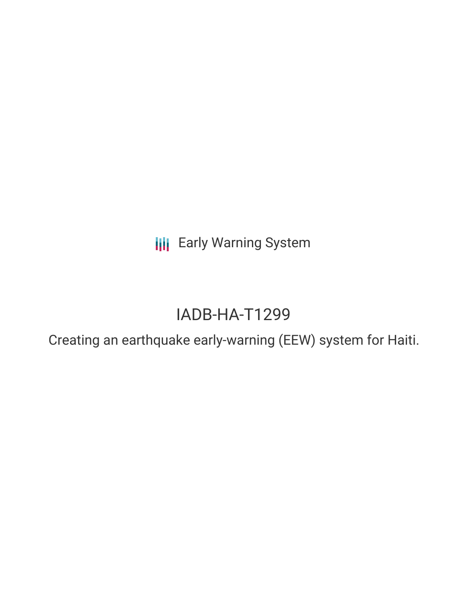**III** Early Warning System

# IADB-HA-T1299

Creating an earthquake early-warning (EEW) system for Haiti.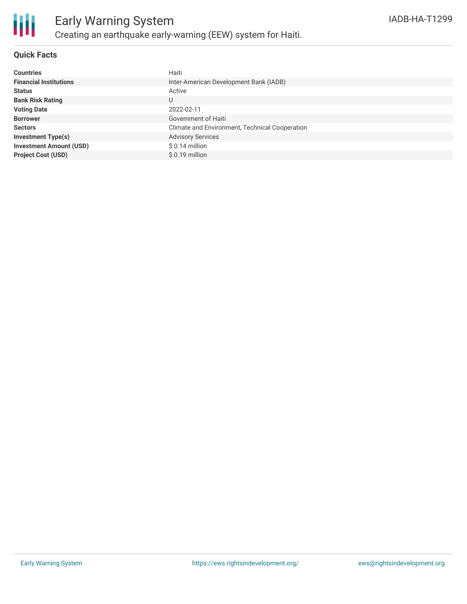

# **Quick Facts**

| <b>Countries</b>               | Haiti                                          |
|--------------------------------|------------------------------------------------|
| <b>Financial Institutions</b>  | Inter-American Development Bank (IADB)         |
| <b>Status</b>                  | Active                                         |
| <b>Bank Risk Rating</b>        | U                                              |
| <b>Voting Date</b>             | 2022-02-11                                     |
| <b>Borrower</b>                | Government of Haiti                            |
| <b>Sectors</b>                 | Climate and Environment, Technical Cooperation |
| <b>Investment Type(s)</b>      | <b>Advisory Services</b>                       |
| <b>Investment Amount (USD)</b> | $$0.14$ million                                |
| <b>Project Cost (USD)</b>      | $$0.19$ million                                |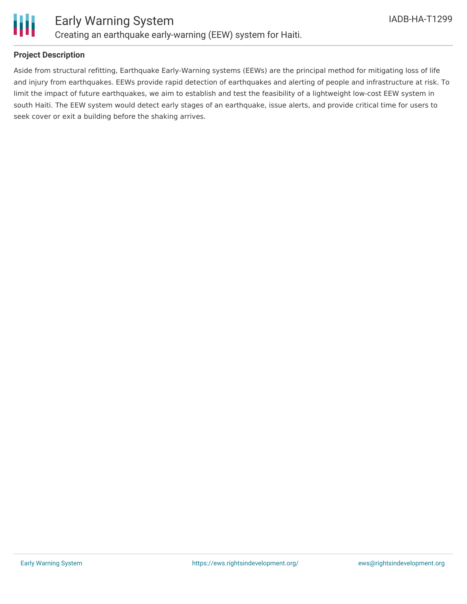

## **Project Description**

Aside from structural refitting, Earthquake Early-Warning systems (EEWs) are the principal method for mitigating loss of life and injury from earthquakes. EEWs provide rapid detection of earthquakes and alerting of people and infrastructure at risk. To limit the impact of future earthquakes, we aim to establish and test the feasibility of a lightweight low-cost EEW system in south Haiti. The EEW system would detect early stages of an earthquake, issue alerts, and provide critical time for users to seek cover or exit a building before the shaking arrives.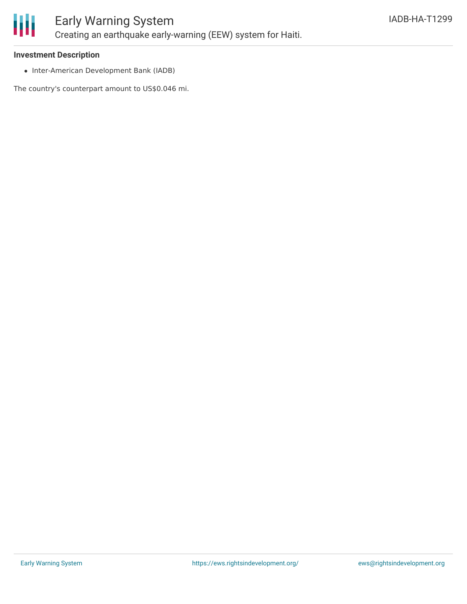

#### **Investment Description**

• Inter-American Development Bank (IADB)

The country's counterpart amount to US\$0.046 mi.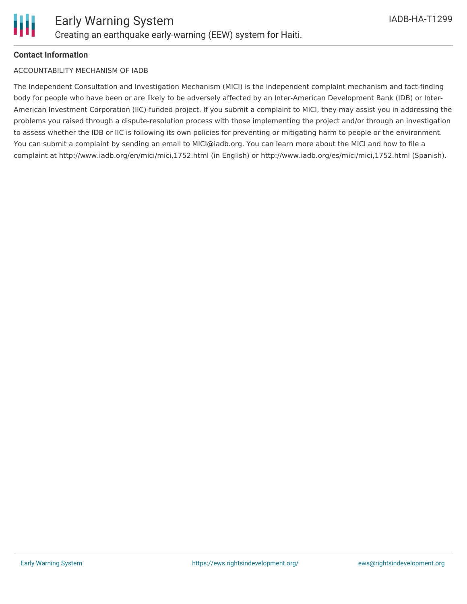# **Contact Information**

## ACCOUNTABILITY MECHANISM OF IADB

The Independent Consultation and Investigation Mechanism (MICI) is the independent complaint mechanism and fact-finding body for people who have been or are likely to be adversely affected by an Inter-American Development Bank (IDB) or Inter-American Investment Corporation (IIC)-funded project. If you submit a complaint to MICI, they may assist you in addressing the problems you raised through a dispute-resolution process with those implementing the project and/or through an investigation to assess whether the IDB or IIC is following its own policies for preventing or mitigating harm to people or the environment. You can submit a complaint by sending an email to MICI@iadb.org. You can learn more about the MICI and how to file a complaint at http://www.iadb.org/en/mici/mici,1752.html (in English) or http://www.iadb.org/es/mici/mici,1752.html (Spanish).